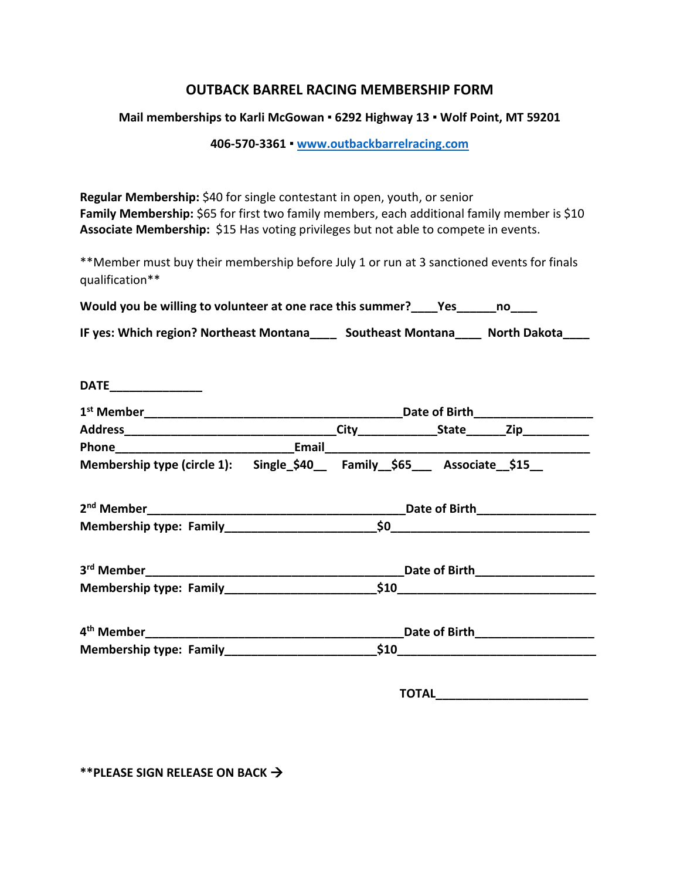## **OUTBACK BARREL RACING MEMBERSHIP FORM**

## **Mail memberships to Karli McGowan ▪ 6292 Highway 13 ▪ Wolf Point, MT 59201**

**406-570-3361 ▪ [www.outbackbarrelracing.com](http://www.outbackbarrelracing.com/)**

**Regular Membership:** \$40 for single contestant in open, youth, or senior Family Membership: \$65 for first two family members, each additional family member is \$10 **Associate Membership:** \$15 Has voting privileges but not able to compete in events.

\*\*Member must buy their membership before July 1 or run at 3 sanctioned events for finals qualification\*\*

| Would you be willing to volunteer at one race this summer?<br>Yes |  |  |  |
|-------------------------------------------------------------------|--|--|--|
|-------------------------------------------------------------------|--|--|--|

| IF yes: Which region? Northeast Montana | <b>Southeast Montana</b> | North Dakota |
|-----------------------------------------|--------------------------|--------------|
|                                         |                          |              |

| <b>DATE</b>                                                              |  |  |                                 |  |  |
|--------------------------------------------------------------------------|--|--|---------------------------------|--|--|
|                                                                          |  |  |                                 |  |  |
|                                                                          |  |  |                                 |  |  |
|                                                                          |  |  |                                 |  |  |
| Membership type (circle 1): Single_\$40__ Family_\$65___ Associate_\$15_ |  |  |                                 |  |  |
|                                                                          |  |  |                                 |  |  |
|                                                                          |  |  |                                 |  |  |
|                                                                          |  |  | Date of Birth_________________  |  |  |
| Membership type: Family 510                                              |  |  |                                 |  |  |
|                                                                          |  |  | Date of Birth__________________ |  |  |
|                                                                          |  |  |                                 |  |  |

**TOTAL\_\_\_\_\_\_\_\_\_\_\_\_\_\_\_\_\_\_\_\_\_\_\_**

**\*\*PLEASE SIGN RELEASE ON BACK**